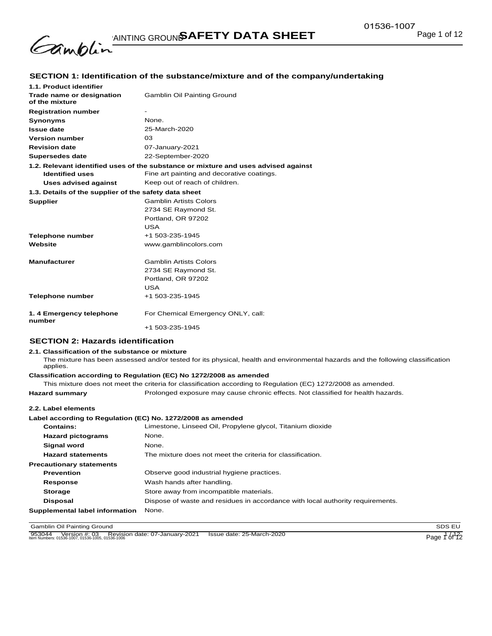

# **SECTION 1: Identification of the substance/mixture and of the company/undertaking**

| 1.1. Product identifier                               |                                                                                    |
|-------------------------------------------------------|------------------------------------------------------------------------------------|
| Trade name or designation<br>of the mixture           | <b>Gamblin Oil Painting Ground</b>                                                 |
| <b>Registration number</b>                            |                                                                                    |
| <b>Synonyms</b>                                       | None.                                                                              |
| <b>Issue date</b>                                     | 25-March-2020                                                                      |
| <b>Version number</b>                                 | 03                                                                                 |
| <b>Revision date</b>                                  | 07-January-2021                                                                    |
| <b>Supersedes date</b>                                | 22-September-2020                                                                  |
|                                                       | 1.2. Relevant identified uses of the substance or mixture and uses advised against |
| <b>Identified uses</b>                                | Fine art painting and decorative coatings.                                         |
| Uses advised against                                  | Keep out of reach of children.                                                     |
| 1.3. Details of the supplier of the safety data sheet |                                                                                    |
| <b>Supplier</b>                                       | <b>Gamblin Artists Colors</b>                                                      |
|                                                       | 2734 SE Raymond St.                                                                |
|                                                       | Portland, OR 97202                                                                 |
|                                                       | <b>USA</b>                                                                         |
| Telephone number                                      | +1 503-235-1945                                                                    |
| Website                                               | www.gamblincolors.com                                                              |
|                                                       |                                                                                    |
| <b>Manufacturer</b>                                   | <b>Gamblin Artists Colors</b>                                                      |
|                                                       | 2734 SE Raymond St.                                                                |
|                                                       | Portland, OR 97202                                                                 |
|                                                       | USA                                                                                |
| <b>Telephone number</b>                               | +1 503-235-1945                                                                    |
|                                                       |                                                                                    |
| 1.4 Emergency telephone<br>number                     | For Chemical Emergency ONLY, call:                                                 |
|                                                       | +1 503-235-1945                                                                    |
|                                                       |                                                                                    |

### **SECTION 2: Hazards identification**

#### **2.1. Classification of the substance or mixture**

The mixture has been assessed and/or tested for its physical, health and environmental hazards and the following classification applies.

# **Classification according to Regulation (EC) No 1272/2008 as amended**

This mixture does not meet the criteria for classification according to Regulation (EC) 1272/2008 as amended.

**Hazard summary** Prolonged exposure may cause chronic effects. Not classified for health hazards.

#### **2.2. Label elements**

#### **Label according to Regulation (EC) No. 1272/2008 as amended**

| <b>Contains:</b>                | Limestone, Linseed Oil, Propylene glycol, Titanium dioxide                     |
|---------------------------------|--------------------------------------------------------------------------------|
| <b>Hazard pictograms</b>        | None.                                                                          |
| Signal word                     | None.                                                                          |
| <b>Hazard statements</b>        | The mixture does not meet the criteria for classification.                     |
| <b>Precautionary statements</b> |                                                                                |
| <b>Prevention</b>               | Observe good industrial hygiene practices.                                     |
| Response                        | Wash hands after handling.                                                     |
| <b>Storage</b>                  | Store away from incompatible materials.                                        |
| <b>Disposal</b>                 | Dispose of waste and residues in accordance with local authority requirements. |
| Supplemental label information  | None.                                                                          |

**Gamblin Oil Painting Ground SDS EU** 

953044 Version #: 03 Revision date: 07-January-2021 Issue date: 25-March-2020<br>Item Numbers: 01536-1007, 01536-1005, 01536-1006 Inc. 07-January-2021 Issue date: 25-March-2020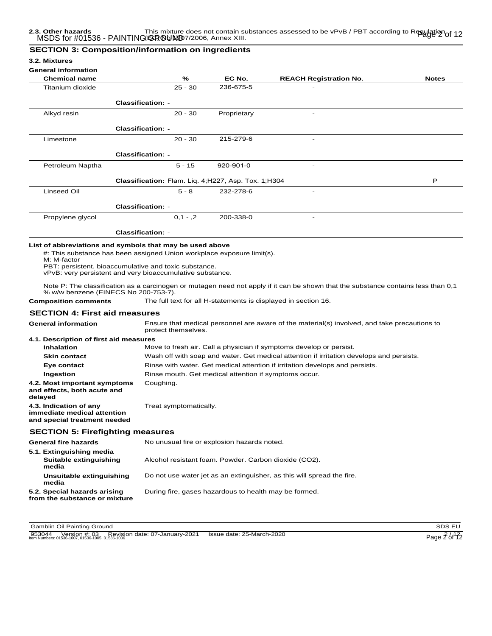### **SECTION 3: Composition/information on ingredients**

#### **3.2. Mixtures**

#### **General information**

| 961161 an mnon mation<br><b>Chemical name</b> | $\%$                                                | EC No.      | <b>REACH Registration No.</b> | <b>Notes</b> |
|-----------------------------------------------|-----------------------------------------------------|-------------|-------------------------------|--------------|
| Titanium dioxide                              | $25 - 30$                                           | 236-675-5   | ۰                             |              |
|                                               | <b>Classification: -</b>                            |             |                               |              |
| Alkyd resin                                   | $20 - 30$                                           | Proprietary | -                             |              |
|                                               | <b>Classification: -</b>                            |             |                               |              |
| Limestone                                     | $20 - 30$                                           | 215-279-6   | $\overline{\phantom{a}}$      |              |
|                                               | <b>Classification: -</b>                            |             |                               |              |
| Petroleum Naptha                              | $5 - 15$                                            | 920-901-0   |                               |              |
|                                               | Classification: Flam. Lig. 4;H227, Asp. Tox. 1;H304 |             |                               | P            |
| Linseed Oil                                   | $5 - 8$                                             | 232-278-6   | $\overline{\phantom{a}}$      |              |
|                                               | <b>Classification: -</b>                            |             |                               |              |
| Propylene glycol                              | $0,1 - 0,2$                                         | 200-338-0   | $\overline{\phantom{a}}$      |              |
|                                               | <b>Classification: -</b>                            |             |                               |              |

#: This substance has been assigned Union workplace exposure limit(s).

M: M-factor

PBT: persistent, bioaccumulative and toxic substance.

vPvB: very persistent and very bioaccumulative substance.

Note P: The classification as a carcinogen or mutagen need not apply if it can be shown that the substance contains less than 0,1 % w/w benzene (EINECS No 200-753-7).

**Composition comments** The full text for all H-statements is displayed in section 16.

# **SECTION 4: First aid measures**

| <b>General information</b>                                                            | Ensure that medical personnel are aware of the material(s) involved, and take precautions to<br>protect themselves. |
|---------------------------------------------------------------------------------------|---------------------------------------------------------------------------------------------------------------------|
| 4.1. Description of first aid measures                                                |                                                                                                                     |
| <b>Inhalation</b>                                                                     | Move to fresh air. Call a physician if symptoms develop or persist.                                                 |
| <b>Skin contact</b>                                                                   | Wash off with soap and water. Get medical attention if irritation develops and persists.                            |
| Eye contact                                                                           | Rinse with water. Get medical attention if irritation develops and persists.                                        |
| Ingestion                                                                             | Rinse mouth. Get medical attention if symptoms occur.                                                               |
| 4.2. Most important symptoms<br>and effects, both acute and<br>delayed                | Coughing.                                                                                                           |
| 4.3. Indication of any<br>immediate medical attention<br>and special treatment needed | Treat symptomatically.                                                                                              |
| <b>SECTION 5: Firefighting measures</b>                                               |                                                                                                                     |
| <b>General fire hazards</b>                                                           | No unusual fire or explosion hazards noted.                                                                         |
| 5.1. Extinguishing media<br>Suitable extinguishing<br>media                           | Alcohol resistant foam. Powder. Carbon dioxide (CO2).                                                               |
| Unsuitable extinguishing<br>media                                                     | Do not use water jet as an extinguisher, as this will spread the fire.                                              |
| 5.2. Special hazards arising                                                          | During fire, gases hazardous to health may be formed.                                                               |

**Gamblin Oil Painting Ground SDS EU** 

**from the substance or mixture**

953044 Version #: 03 Revision date: 07-January-2021 Issue date: 25-March-2020<br>Item Numbers: 01536-1007, 01536-1005, 01536-1006 Page 2 of 12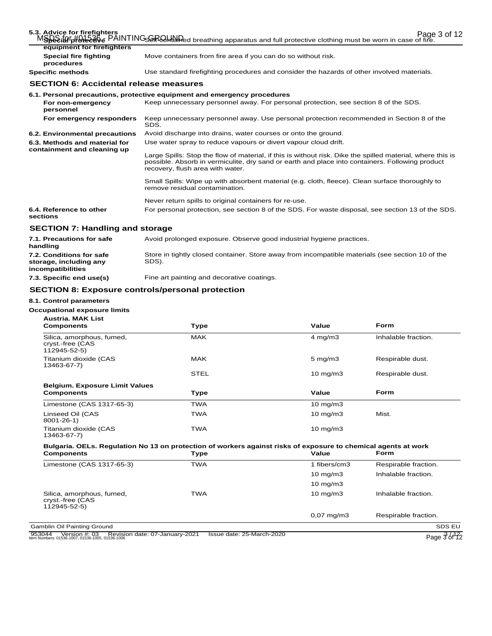| 5.3. Advice for firefighters                                 | Page 3 of 12<br>MSDS: 49tothing must be worn in case of fire.                                                                                                                                                                                     |
|--------------------------------------------------------------|---------------------------------------------------------------------------------------------------------------------------------------------------------------------------------------------------------------------------------------------------|
| equipment for firefighters                                   |                                                                                                                                                                                                                                                   |
| <b>Special fire fighting</b><br>procedures                   | Move containers from fire area if you can do so without risk.                                                                                                                                                                                     |
| <b>Specific methods</b>                                      | Use standard firefighting procedures and consider the hazards of other involved materials.                                                                                                                                                        |
| <b>SECTION 6: Accidental release measures</b>                |                                                                                                                                                                                                                                                   |
|                                                              | 6.1. Personal precautions, protective equipment and emergency procedures                                                                                                                                                                          |
| For non-emergency<br>personnel                               | Keep unnecessary personnel away. For personal protection, see section 8 of the SDS.                                                                                                                                                               |
| For emergency responders                                     | Keep unnecessary personnel away. Use personal protection recommended in Section 8 of the<br>SDS.                                                                                                                                                  |
| 6.2. Environmental precautions                               | Avoid discharge into drains, water courses or onto the ground.                                                                                                                                                                                    |
| 6.3. Methods and material for<br>containment and cleaning up | Use water spray to reduce vapours or divert vapour cloud drift.                                                                                                                                                                                   |
|                                                              | Large Spills: Stop the flow of material, if this is without risk. Dike the spilled material, where this is<br>possible. Absorb in vermiculite, dry sand or earth and place into containers. Following product<br>recovery, flush area with water. |
|                                                              | Small Spills: Wipe up with absorbent material (e.g. cloth, fleece). Clean surface thoroughly to<br>remove residual contamination.                                                                                                                 |
|                                                              | Never return spills to original containers for re-use.                                                                                                                                                                                            |
| 6.4. Reference to other<br>sections                          | For personal protection, see section 8 of the SDS. For waste disposal, see section 13 of the SDS.                                                                                                                                                 |
| <b>SECTION 7: Handling and storage</b>                       |                                                                                                                                                                                                                                                   |

| 7.1. Precautions for safe<br>handling                                          | Avoid prolonged exposure. Observe good industrial hygiene practices.                                      |
|--------------------------------------------------------------------------------|-----------------------------------------------------------------------------------------------------------|
| 7.2. Conditions for safe<br>storage, including any<br><i>incompatibilities</i> | Store in tightly closed container. Store away from incompatible materials (see section 10 of the<br>SDS). |
| _ _ _ _                                                                        |                                                                                                           |

**7.3. Specific end use(s)** Fine art painting and decorative coatings.

# **SECTION 8: Exposure controls/personal protection**

### **8.1. Control parameters**

# **Occupational exposure limits**

| <b>Austria, MAK List</b><br><b>Components</b>                                                                                       | <b>Type</b> | Value                 | Form                 |
|-------------------------------------------------------------------------------------------------------------------------------------|-------------|-----------------------|----------------------|
| Silica, amorphous, fumed,<br>cryst.-free (CAS<br>112945-52-5)                                                                       | <b>MAK</b>  | $4$ mg/m $3$          | Inhalable fraction.  |
| Titanium dioxide (CAS<br>13463-67-7)                                                                                                | <b>MAK</b>  | $5 \text{ mg/m}$ 3    | Respirable dust.     |
|                                                                                                                                     | <b>STEL</b> | $10 \text{ mg/m}$     | Respirable dust.     |
| <b>Belgium. Exposure Limit Values</b><br><b>Components</b>                                                                          | <b>Type</b> | Value                 | <b>Form</b>          |
| Limestone (CAS 1317-65-3)                                                                                                           | <b>TWA</b>  | $10 \text{ mg/m}$     |                      |
| Linseed Oil (CAS<br>$8001 - 26 - 1$                                                                                                 | <b>TWA</b>  | 10 mg/m3              | Mist.                |
| Titanium dioxide (CAS<br>13463-67-7)                                                                                                | <b>TWA</b>  | $10 \text{ mg/m}$     |                      |
| Bulgaria. OELs. Regulation No 13 on protection of workers against risks of exposure to chemical agents at work<br><b>Components</b> | <b>Type</b> | Value                 | Form                 |
| Limestone (CAS 1317-65-3)                                                                                                           | <b>TWA</b>  | 1 fibers/cm3          | Respirable fraction. |
|                                                                                                                                     |             | $10 \text{ mg/m}$     | Inhalable fraction.  |
|                                                                                                                                     |             | $10 \text{ mg/m}$     |                      |
| Silica, amorphous, fumed,<br>cryst.-free (CAS<br>112945-52-5)                                                                       | <b>TWA</b>  | $10 \text{ mg/m}$     | Inhalable fraction.  |
|                                                                                                                                     |             | $0.07 \text{ mg/m}$ 3 | Respirable fraction. |
| Gamblin Oil Painting Ground                                                                                                         |             |                       | SDS EU               |

953044 Version #: 03 Revision date: 07-January-2021 Issue date: 25-March-2020<br>Item Numbers: 01536-1007, 01536-1005, 01536-1006 Page 3 of 12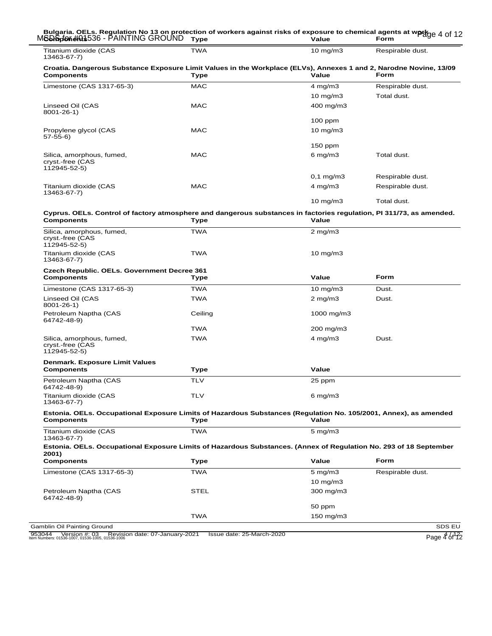#### Page 4 of 12 MSDS for #01536 - PAINTING GROUND **Bulgaria. OELs. Regulation No 13 on protection of workers against risks of exposure to chemical agents at work CDISpf6ne#N\$**536 - PAINTING GROUND Type Value Form

| Titanium dioxide (CAS<br>13463-67-7)                                                                                                    | TWA         | $10 \text{ mg/m}$   | Respirable dust. |
|-----------------------------------------------------------------------------------------------------------------------------------------|-------------|---------------------|------------------|
| Croatia. Dangerous Substance Exposure Limit Values in the Workplace (ELVs), Annexes 1 and 2, Narodne Novine, 13/09<br><b>Components</b> | <b>Type</b> | Value               | <b>Form</b>      |
| Limestone (CAS 1317-65-3)                                                                                                               | <b>MAC</b>  | $4$ mg/m $3$        | Respirable dust. |
|                                                                                                                                         |             | 10 mg/m $3$         | Total dust.      |
| Linseed Oil (CAS<br>$8001 - 26 - 1$                                                                                                     | <b>MAC</b>  | 400 mg/m3           |                  |
|                                                                                                                                         |             | $100$ ppm           |                  |
| Propylene glycol (CAS<br>$57-55-6$                                                                                                      | <b>MAC</b>  | $10$ mg/m $3$       |                  |
|                                                                                                                                         |             | $150$ ppm           |                  |
| Silica, amorphous, fumed,<br>cryst.-free (CAS<br>112945-52-5)                                                                           | <b>MAC</b>  | $6$ mg/m $3$        | Total dust.      |
|                                                                                                                                         |             | $0,1$ mg/m $3$      | Respirable dust. |
| Titanium dioxide (CAS<br>13463-67-7)                                                                                                    | <b>MAC</b>  | 4 mg/m $3$          | Respirable dust. |
|                                                                                                                                         |             | $10 \text{ mg/m}$ 3 | Total dust.      |

# **Cyprus. OELs. Control of factory atmosphere and dangerous substances in factories regulation, PI 311/73, as amended.**

| <b>Components</b>                                                                                                                     | <b>Type</b> | Value              |                  |
|---------------------------------------------------------------------------------------------------------------------------------------|-------------|--------------------|------------------|
| Silica, amorphous, fumed,<br>cryst.-free (CAS<br>112945-52-5)                                                                         | <b>TWA</b>  | $2 \text{ mg/m}$ 3 |                  |
| Titanium dioxide (CAS<br>13463-67-7)                                                                                                  | <b>TWA</b>  | $10 \text{ mg/m}$  |                  |
| Czech Republic. OELs. Government Decree 361                                                                                           |             |                    |                  |
| <b>Components</b>                                                                                                                     | <b>Type</b> | Value              | Form             |
| Limestone (CAS 1317-65-3)                                                                                                             | <b>TWA</b>  | $10 \text{ mg/m}$  | Dust.            |
| Linseed Oil (CAS<br>$8001 - 26 - 1$                                                                                                   | <b>TWA</b>  | $2$ mg/m $3$       | Dust.            |
| Petroleum Naptha (CAS<br>64742-48-9)                                                                                                  | Ceiling     | 1000 mg/m3         |                  |
|                                                                                                                                       | <b>TWA</b>  | 200 mg/m3          |                  |
| Silica, amorphous, fumed,<br>cryst.-free (CAS<br>112945-52-5)                                                                         | <b>TWA</b>  | $4$ mg/m $3$       | Dust.            |
| Denmark. Exposure Limit Values                                                                                                        |             |                    |                  |
| <b>Components</b>                                                                                                                     | <b>Type</b> | Value              |                  |
| Petroleum Naptha (CAS<br>64742-48-9)                                                                                                  | <b>TLV</b>  | 25 ppm             |                  |
| Titanium dioxide (CAS<br>13463-67-7)                                                                                                  | <b>TLV</b>  | $6$ mg/m $3$       |                  |
| Estonia. OELs. Occupational Exposure Limits of Hazardous Substances (Regulation No. 105/2001, Annex), as amended<br><b>Components</b> | <b>Type</b> | Value              |                  |
|                                                                                                                                       | <b>TWA</b>  |                    |                  |
| Titanium dioxide (CAS<br>13463-67-7)                                                                                                  |             | $5 \text{ mg/m}$ 3 |                  |
| Estonia. OELs. Occupational Exposure Limits of Hazardous Substances. (Annex of Regulation No. 293 of 18 September<br>2001)            |             |                    |                  |
| <b>Components</b>                                                                                                                     | <b>Type</b> | Value              | Form             |
| Limestone (CAS 1317-65-3)                                                                                                             | <b>TWA</b>  | $5$ mg/m $3$       | Respirable dust. |
|                                                                                                                                       |             | $10$ mg/m $3$      |                  |
| Petroleum Naptha (CAS<br>64742-48-9)                                                                                                  | <b>STEL</b> | 300 mg/m3          |                  |
|                                                                                                                                       |             | 50 ppm             |                  |

953044 Version #: 03 Revision date: 07-January-2021 Issue date: 25-March-2020 **1899 1200 1200 Page 4 / 12**<br>Item Numbers: 01536-1007, 01536-1005, 01536-1006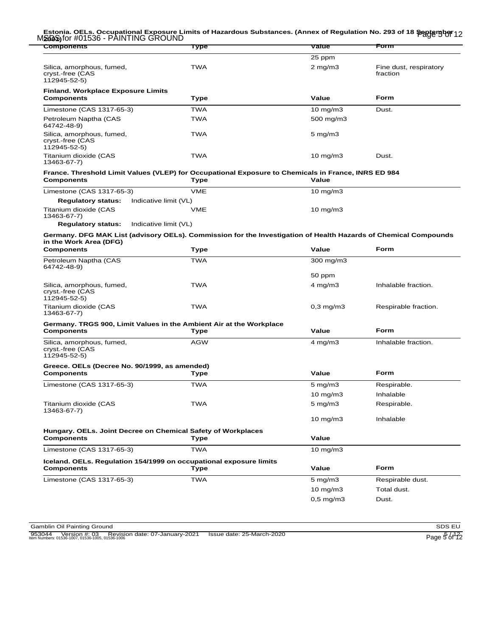#### Estonia. OELs. Occupational Exposure Limits of Hazardous Substances. (Annex of Regulation No. 293 of 18 <del>ֆջլծաթրերի</del><br>M**200**6)for #01536 - PAINTING GROUND **2001)**

| <b>Components</b>                                                                                                                         | Type        | <b>Value</b>        | Form                               |
|-------------------------------------------------------------------------------------------------------------------------------------------|-------------|---------------------|------------------------------------|
|                                                                                                                                           |             | 25 ppm              |                                    |
| Silica, amorphous, fumed,<br>cryst.-free (CAS<br>112945-52-5)                                                                             | <b>TWA</b>  | $2$ mg/m $3$        | Fine dust, respiratory<br>fraction |
| <b>Finland. Workplace Exposure Limits</b><br><b>Components</b>                                                                            | Type        | Value               | Form                               |
| Limestone (CAS 1317-65-3)                                                                                                                 | <b>TWA</b>  | $10 \text{ mg/m}$   | Dust.                              |
| Petroleum Naptha (CAS<br>64742-48-9)                                                                                                      | <b>TWA</b>  | 500 mg/m3           |                                    |
| Silica, amorphous, fumed,<br>cryst.-free (CAS<br>112945-52-5)                                                                             | <b>TWA</b>  | $5 \text{ mg/m}$ 3  |                                    |
| Titanium dioxide (CAS<br>13463-67-7)                                                                                                      | <b>TWA</b>  | $10 \text{ mg/m}$   | Dust.                              |
| France. Threshold Limit Values (VLEP) for Occupational Exposure to Chemicals in France, INRS ED 984<br><b>Components</b>                  | Type        | Value               |                                    |
| Limestone (CAS 1317-65-3)                                                                                                                 | <b>VME</b>  | $10 \text{ mg/m}$   |                                    |
| Indicative limit (VL)<br><b>Regulatory status:</b>                                                                                        |             |                     |                                    |
| Titanium dioxide (CAS<br>13463-67-7)                                                                                                      | VME         | $10$ mg/m $3$       |                                    |
| <b>Regulatory status:</b><br>Indicative limit (VL)                                                                                        |             |                     |                                    |
| Germany. DFG MAK List (advisory OELs). Commission for the Investigation of Health Hazards of Chemical Compounds<br>in the Work Area (DFG) |             |                     |                                    |
| <b>Components</b>                                                                                                                         | Type        | Value               | Form                               |
| Petroleum Naptha (CAS<br>64742-48-9)                                                                                                      | <b>TWA</b>  | 300 mg/m3           |                                    |
|                                                                                                                                           |             | 50 ppm              |                                    |
| Silica, amorphous, fumed,<br>cryst.-free (CAS<br>112945-52-5)                                                                             | <b>TWA</b>  | $4$ mg/m $3$        | Inhalable fraction.                |
| Titanium dioxide (CAS<br>13463-67-7)                                                                                                      | <b>TWA</b>  | $0,3$ mg/m $3$      | Respirable fraction.               |
| Germany. TRGS 900, Limit Values in the Ambient Air at the Workplace                                                                       |             |                     |                                    |
| <b>Components</b>                                                                                                                         | Type        | Value               | Form                               |
| Silica, amorphous, fumed,<br>cryst.-free (CAS<br>112945-52-5)                                                                             | <b>AGW</b>  | $4 \text{ mg/m}$    | Inhalable fraction.                |
| Greece. OELs (Decree No. 90/1999, as amended)                                                                                             |             |                     |                                    |
| <b>Components</b>                                                                                                                         | Type        | Value               | Form                               |
| Limestone (CAS 1317-65-3)                                                                                                                 | <b>TWA</b>  | $5 \text{ mg/m}$ 3  | Respirable.                        |
|                                                                                                                                           |             | $10 \text{ mg/m}$   | Inhalable                          |
| Titanium dioxide (CAS<br>13463-67-7)                                                                                                      | TWA         | $5$ mg/m $3$        | Respirable.                        |
|                                                                                                                                           |             | $10$ mg/m $3$       | Inhalable                          |
| Hungary. OELs. Joint Decree on Chemical Safety of Workplaces<br><b>Components</b>                                                         | <b>Type</b> | Value               |                                    |
| Limestone (CAS 1317-65-3)                                                                                                                 | <b>TWA</b>  | $10 \text{ mg/m}$ 3 |                                    |
| Iceland. OELs. Regulation 154/1999 on occupational exposure limits<br><b>Components</b>                                                   | <b>Type</b> | Value               | <b>Form</b>                        |
| Limestone (CAS 1317-65-3)                                                                                                                 | <b>TWA</b>  | $5 \text{ mg/m}$    | Respirable dust.                   |
|                                                                                                                                           |             | $10$ mg/m $3$       | Total dust.                        |
|                                                                                                                                           |             | $0,5$ mg/m $3$      | Dust.                              |
|                                                                                                                                           |             |                     |                                    |

Gamblin Oil Painting Ground<br>
953044 Version #: 03 Revision date: 07-January-2021 Issue date: 25-March-2020<br>
Ilem Numbers: 01536-1007, 01536-1005, 01536-1006 953044 Version #: 03 Revision date: 07-January-2021 Issue date: 25-March-2020 Item Numbers: 01536-1007, 01536-1005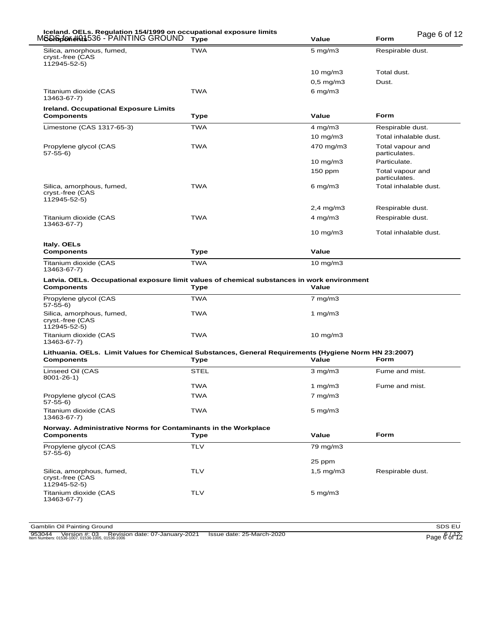| M <b>SD&amp;pfon#Q\$</b> 536 - PAINTING GROUND                                                                                                                                                                                                                  | <b>Type</b> | Value                | Page 6 of 12<br><b>Form</b>       |
|-----------------------------------------------------------------------------------------------------------------------------------------------------------------------------------------------------------------------------------------------------------------|-------------|----------------------|-----------------------------------|
| Silica, amorphous, fumed,<br>cryst.-free (CAS<br>112945-52-5)                                                                                                                                                                                                   | <b>TWA</b>  | $5 \text{ mg/m}$ 3   | Respirable dust.                  |
|                                                                                                                                                                                                                                                                 |             | 10 mg/m $3$          | Total dust.                       |
|                                                                                                                                                                                                                                                                 |             | $0,5$ mg/m $3$       | Dust.                             |
| Titanium dioxide (CAS<br>13463-67-7)                                                                                                                                                                                                                            | <b>TWA</b>  | 6 mg/m $3$           |                                   |
| <b>Ireland. Occupational Exposure Limits</b><br>Components                                                                                                                                                                                                      | Type        | Value                | Form                              |
| Limestone (CAS 1317-65-3)                                                                                                                                                                                                                                       | <b>TWA</b>  | $4 \text{ mg/m}$ 3   | Respirable dust.                  |
|                                                                                                                                                                                                                                                                 |             | $10 \text{ mg/m}$    | Total inhalable dust.             |
| Propylene glycol (CAS<br>$57-55-6$                                                                                                                                                                                                                              | <b>TWA</b>  | 470 mg/m3            | Total vapour and<br>particulates. |
|                                                                                                                                                                                                                                                                 |             | $10 \text{ mg/m}$    | Particulate.                      |
|                                                                                                                                                                                                                                                                 |             | $150$ ppm            | Total vapour and<br>particulates. |
| Silica, amorphous, fumed,<br>cryst.-free (CAS<br>112945-52-5)                                                                                                                                                                                                   | <b>TWA</b>  | 6 mg/m $3$           | Total inhalable dust.             |
|                                                                                                                                                                                                                                                                 |             | $2,4$ mg/m $3$       | Respirable dust.                  |
| Titanium dioxide (CAS<br>13463-67-7)                                                                                                                                                                                                                            | <b>TWA</b>  | $4$ mg/m $3$         | Respirable dust.                  |
|                                                                                                                                                                                                                                                                 |             | $10$ mg/m $3$        | Total inhalable dust.             |
| Italy. OELs<br><b>Components</b>                                                                                                                                                                                                                                | Type        | Value                |                                   |
| Titanium dioxide (CAS                                                                                                                                                                                                                                           | <b>TWA</b>  | 10 mg/m $3$          |                                   |
| 13463-67-7)                                                                                                                                                                                                                                                     |             |                      |                                   |
| Latvia. OELs. Occupational exposure limit values of chemical substances in work environment<br>Components                                                                                                                                                       | Type        | Value                |                                   |
| Propylene glycol (CAS<br>57-55-6)                                                                                                                                                                                                                               | <b>TWA</b>  | $7 \text{ mg/m}$ 3   |                                   |
| Silica, amorphous, fumed,<br>cryst.-free (CAS<br>112945-52-5)                                                                                                                                                                                                   | <b>TWA</b>  | 1 $mg/m3$            |                                   |
| Titanium dioxide (CAS<br>13463-67-7)                                                                                                                                                                                                                            | <b>TWA</b>  | $10 \text{ mg/m}$    |                                   |
| Lithuania. OELs. Limit Values for Chemical Substances, General Requirements (Hygiene Norm HN 23:2007)<br>Components                                                                                                                                             | Type        | Value                | Form                              |
| Linseed Oil (CAS<br>8001-26-1)                                                                                                                                                                                                                                  | <b>STEL</b> | $3$ mg/m $3$         | Fume and mist.                    |
|                                                                                                                                                                                                                                                                 | <b>TWA</b>  | 1 mg/m $3$           | Fume and mist.                    |
|                                                                                                                                                                                                                                                                 | <b>TWA</b>  | $7$ mg/m $3$         |                                   |
|                                                                                                                                                                                                                                                                 | <b>TWA</b>  | $5$ mg/m $3$         |                                   |
|                                                                                                                                                                                                                                                                 | <b>Type</b> | Value                | Form                              |
|                                                                                                                                                                                                                                                                 | <b>TLV</b>  | 79 mg/m3             |                                   |
|                                                                                                                                                                                                                                                                 |             | 25 ppm               |                                   |
| Propylene glycol (CAS<br>57-55-6)<br>Titanium dioxide (CAS<br>13463-67-7)<br>Norway. Administrative Norms for Contaminants in the Workplace<br>Components<br>Propylene glycol (CAS<br>57-55-6)<br>Silica, amorphous, fumed,<br>cryst.-free (CAS<br>112945-52-5) | <b>TLV</b>  | $1,5 \text{ mg/m}$ 3 | Respirable dust.                  |

953044 Version #: 03 Revision date: 07-January-2021 Issue date: 25-March-2020<br>Item Numbers: 01536-1007, 01536-1005, 01536-1006 Page 6 of 12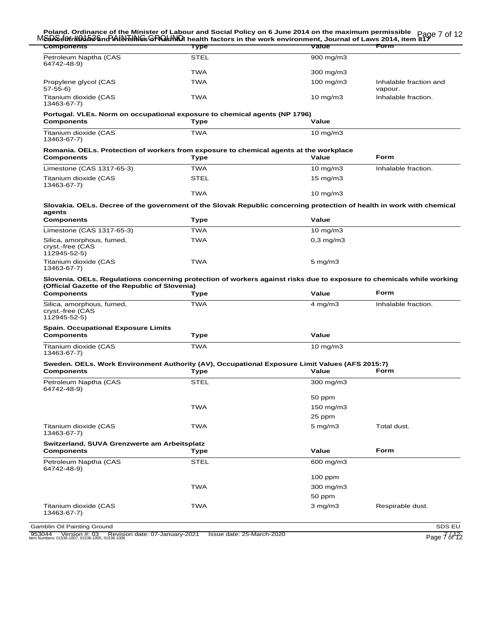| M&D\Sdotr#0363&nd Atlahelining GRQLINIDI health factors in the work environment, Journal of Laws 2014, item 817<br>Components<br><b>Components</b>                                                                                                                                                             | <b>Type</b> | Value              | Form                              |
|----------------------------------------------------------------------------------------------------------------------------------------------------------------------------------------------------------------------------------------------------------------------------------------------------------------|-------------|--------------------|-----------------------------------|
| Petroleum Naptha (CAS                                                                                                                                                                                                                                                                                          | <b>STEL</b> | $900$ mg/m $3$     |                                   |
| 64742-48-9)                                                                                                                                                                                                                                                                                                    |             |                    |                                   |
|                                                                                                                                                                                                                                                                                                                | <b>TWA</b>  | 300 mg/m3          |                                   |
| Propylene glycol (CAS<br>57-55-6)                                                                                                                                                                                                                                                                              | <b>TWA</b>  | $100$ mg/m $3$     | Inhalable fraction and<br>vapour. |
| Titanium dioxide (CAS<br>13463-67-7)                                                                                                                                                                                                                                                                           | TWA         | $10 \text{ mg/m}$  | Inhalable fraction.               |
| Portugal. VLEs. Norm on occupational exposure to chemical agents (NP 1796)<br><b>Components</b>                                                                                                                                                                                                                | <b>Type</b> | Value              |                                   |
|                                                                                                                                                                                                                                                                                                                | <b>TWA</b>  |                    |                                   |
| Titanium dioxide (CAS<br>13463-67-7)                                                                                                                                                                                                                                                                           |             | $10 \text{ mg/m}$  |                                   |
| Romania. OELs. Protection of workers from exposure to chemical agents at the workplace<br><b>Components</b>                                                                                                                                                                                                    | Type        | Value              | <b>Form</b>                       |
| Limestone (CAS 1317-65-3)                                                                                                                                                                                                                                                                                      | <b>TWA</b>  | $10 \text{ mg/m}$  | Inhalable fraction.               |
| Titanium dioxide (CAS                                                                                                                                                                                                                                                                                          | <b>STEL</b> | $15 \text{ mg/m}$  |                                   |
| 13463-67-7)                                                                                                                                                                                                                                                                                                    |             |                    |                                   |
|                                                                                                                                                                                                                                                                                                                | <b>TWA</b>  | $10 \text{ mg/m}$  |                                   |
| Slovakia. OELs. Decree of the government of the Slovak Republic concerning protection of health in work with chemical<br>agents                                                                                                                                                                                |             |                    |                                   |
| <b>Components</b>                                                                                                                                                                                                                                                                                              | Type        | Value              |                                   |
| Limestone (CAS 1317-65-3)                                                                                                                                                                                                                                                                                      | <b>TWA</b>  | $10 \text{ mg/m}$  |                                   |
| Silica, amorphous, fumed,<br>cryst.-free (CAS<br>112945-52-5)                                                                                                                                                                                                                                                  | <b>TWA</b>  | $0,3$ mg/m $3$     |                                   |
| Titanium dioxide (CAS<br>13463-67-7)                                                                                                                                                                                                                                                                           | <b>TWA</b>  | $5 \text{ mg/m}$ 3 |                                   |
|                                                                                                                                                                                                                                                                                                                |             |                    |                                   |
| Slovenia. OELs. Regulations concerning protection of workers against risks due to exposure to chemicals while working                                                                                                                                                                                          |             |                    |                                   |
|                                                                                                                                                                                                                                                                                                                | Type        | Value              | Form                              |
| (Official Gazette of the Republic of Slovenia)<br><b>Components</b><br>Silica, amorphous, fumed,<br>cryst.-free (CAS<br>112945-52-5)                                                                                                                                                                           | <b>TWA</b>  | $4$ mg/m $3$       | Inhalable fraction.               |
|                                                                                                                                                                                                                                                                                                                |             |                    |                                   |
|                                                                                                                                                                                                                                                                                                                | Type        | Value              |                                   |
|                                                                                                                                                                                                                                                                                                                | <b>TWA</b>  | $10 \text{ mg/m}$  |                                   |
|                                                                                                                                                                                                                                                                                                                |             |                    |                                   |
|                                                                                                                                                                                                                                                                                                                | Type        | Value              | Form                              |
|                                                                                                                                                                                                                                                                                                                | <b>STEL</b> | 300 mg/m3          |                                   |
|                                                                                                                                                                                                                                                                                                                |             | 50 ppm             |                                   |
|                                                                                                                                                                                                                                                                                                                | <b>TWA</b>  | 150 mg/m3          |                                   |
|                                                                                                                                                                                                                                                                                                                |             | 25 ppm             |                                   |
| <b>Spain. Occupational Exposure Limits</b><br><b>Components</b><br>Titanium dioxide (CAS<br>13463-67-7)<br>Sweden. OELs. Work Environment Authority (AV), Occupational Exposure Limit Values (AFS 2015:7)<br><b>Components</b><br>Petroleum Naptha (CAS<br>64742-48-9)<br>Titanium dioxide (CAS<br>13463-67-7) | <b>TWA</b>  | $5$ mg/m $3$       | Total dust.                       |
| Switzerland. SUVA Grenzwerte am Arbeitsplatz                                                                                                                                                                                                                                                                   |             |                    |                                   |
|                                                                                                                                                                                                                                                                                                                | Type        | Value              | Form                              |
|                                                                                                                                                                                                                                                                                                                | STEL        | 600 mg/m3          |                                   |
|                                                                                                                                                                                                                                                                                                                |             | 100 ppm            |                                   |
| <b>Components</b><br>Petroleum Naptha (CAS<br>64742-48-9)                                                                                                                                                                                                                                                      | <b>TWA</b>  | 300 mg/m3          |                                   |
|                                                                                                                                                                                                                                                                                                                |             | 50 ppm             |                                   |

953044 Version #: 03 Revision date: 07-January-2021 Issue date: 25-March-2020<br>Item Numbers: 01536-1007, 01536-1005, 01536-1006 Page 7 of 12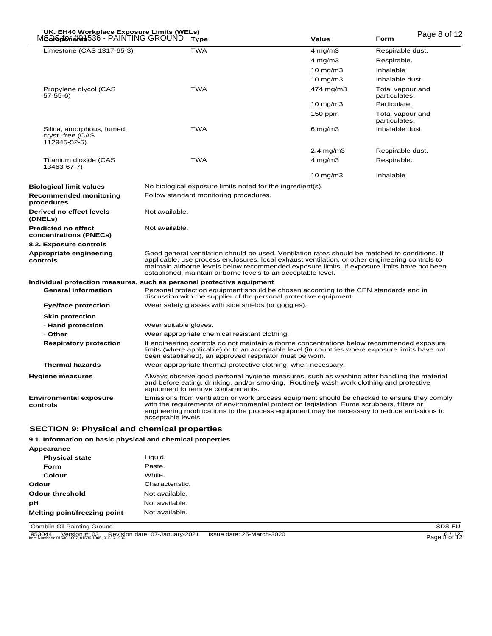| UK. EH40 Workplace Exposure Limits (WELs)<br>MSDD5666#01536 - PAINTING GROUND |                       | <b>Type</b>                                                | Value                                                                                                                                                                                                                                                                                                                                                              | <b>Form</b>                       | Page 8 of 12 |
|-------------------------------------------------------------------------------|-----------------------|------------------------------------------------------------|--------------------------------------------------------------------------------------------------------------------------------------------------------------------------------------------------------------------------------------------------------------------------------------------------------------------------------------------------------------------|-----------------------------------|--------------|
| Limestone (CAS 1317-65-3)                                                     |                       | <b>TWA</b>                                                 | $4$ mg/m $3$                                                                                                                                                                                                                                                                                                                                                       | Respirable dust.                  |              |
|                                                                               |                       |                                                            | $4$ mg/m $3$                                                                                                                                                                                                                                                                                                                                                       | Respirable.                       |              |
|                                                                               |                       |                                                            | $10$ mg/m $3$                                                                                                                                                                                                                                                                                                                                                      | Inhalable                         |              |
|                                                                               |                       |                                                            | $10$ mg/m $3$                                                                                                                                                                                                                                                                                                                                                      | Inhalable dust.                   |              |
| Propylene glycol (CAS<br>$57-55-6$                                            |                       | <b>TWA</b>                                                 | 474 mg/m3                                                                                                                                                                                                                                                                                                                                                          | Total vapour and<br>particulates. |              |
|                                                                               |                       |                                                            | 10 mg/m3                                                                                                                                                                                                                                                                                                                                                           | Particulate.                      |              |
|                                                                               |                       |                                                            | 150 ppm                                                                                                                                                                                                                                                                                                                                                            | Total vapour and<br>particulates. |              |
| Silica, amorphous, fumed,<br>cryst.-free (CAS<br>112945-52-5)                 |                       | <b>TWA</b>                                                 | 6 mg/m $3$                                                                                                                                                                                                                                                                                                                                                         | Inhalable dust.                   |              |
|                                                                               |                       |                                                            | $2,4$ mg/m $3$                                                                                                                                                                                                                                                                                                                                                     | Respirable dust.                  |              |
| Titanium dioxide (CAS<br>13463-67-7)                                          |                       | <b>TWA</b>                                                 | $4$ mg/m $3$                                                                                                                                                                                                                                                                                                                                                       | Respirable.                       |              |
|                                                                               |                       |                                                            | $10 \text{ mg/m}$                                                                                                                                                                                                                                                                                                                                                  | Inhalable                         |              |
| <b>Biological limit values</b>                                                |                       | No biological exposure limits noted for the ingredient(s). |                                                                                                                                                                                                                                                                                                                                                                    |                                   |              |
| <b>Recommended monitoring</b><br>procedures                                   |                       | Follow standard monitoring procedures.                     |                                                                                                                                                                                                                                                                                                                                                                    |                                   |              |
| Derived no effect levels<br>(DNELs)                                           | Not available.        |                                                            |                                                                                                                                                                                                                                                                                                                                                                    |                                   |              |
| <b>Predicted no effect</b><br>concentrations (PNECs)                          | Not available.        |                                                            |                                                                                                                                                                                                                                                                                                                                                                    |                                   |              |
| 8.2. Exposure controls                                                        |                       |                                                            |                                                                                                                                                                                                                                                                                                                                                                    |                                   |              |
| Appropriate engineering<br>controls                                           |                       |                                                            | Good general ventilation should be used. Ventilation rates should be matched to conditions. If<br>applicable, use process enclosures, local exhaust ventilation, or other engineering controls to<br>maintain airborne levels below recommended exposure limits. If exposure limits have not been<br>established, maintain airborne levels to an acceptable level. |                                   |              |
| Individual protection measures, such as personal protective equipment         |                       |                                                            |                                                                                                                                                                                                                                                                                                                                                                    |                                   |              |
| <b>General information</b>                                                    |                       |                                                            | Personal protection equipment should be chosen according to the CEN standards and in<br>discussion with the supplier of the personal protective equipment.                                                                                                                                                                                                         |                                   |              |
| <b>Eye/face protection</b>                                                    |                       | Wear safety glasses with side shields (or goggles).        |                                                                                                                                                                                                                                                                                                                                                                    |                                   |              |
| <b>Skin protection</b>                                                        |                       |                                                            |                                                                                                                                                                                                                                                                                                                                                                    |                                   |              |
| - Hand protection                                                             | Wear suitable gloves. |                                                            |                                                                                                                                                                                                                                                                                                                                                                    |                                   |              |
| - Other                                                                       |                       | Wear appropriate chemical resistant clothing.              |                                                                                                                                                                                                                                                                                                                                                                    |                                   |              |
| <b>Respiratory protection</b>                                                 |                       | been established), an approved respirator must be worn.    | If engineering controls do not maintain airborne concentrations below recommended exposure<br>limits (where applicable) or to an acceptable level (in countries where exposure limits have not                                                                                                                                                                     |                                   |              |
| <b>Thermal hazards</b>                                                        |                       |                                                            | Wear appropriate thermal protective clothing, when necessary.                                                                                                                                                                                                                                                                                                      |                                   |              |
| <b>Hygiene measures</b>                                                       |                       | equipment to remove contaminants.                          | Always observe good personal hygiene measures, such as washing after handling the material<br>and before eating, drinking, and/or smoking. Routinely wash work clothing and protective                                                                                                                                                                             |                                   |              |
| <b>Environmental exposure</b><br>controls                                     | acceptable levels.    |                                                            | Emissions from ventilation or work process equipment should be checked to ensure they comply<br>with the requirements of environmental protection legislation. Fume scrubbers, filters or<br>engineering modifications to the process equipment may be necessary to reduce emissions to                                                                            |                                   |              |
| <b>SECTION 9: Physical and chemical properties</b>                            |                       |                                                            |                                                                                                                                                                                                                                                                                                                                                                    |                                   |              |
|                                                                               |                       |                                                            |                                                                                                                                                                                                                                                                                                                                                                    |                                   |              |

### **9.1. Information on basic physical and chemical properties**

| Appearance                   |                 |
|------------------------------|-----------------|
| <b>Physical state</b>        | Liquid.         |
| Form                         | Paste.          |
| Colour                       | White.          |
| Odour                        | Characteristic. |
| Odour threshold              | Not available   |
| рH                           | Not available   |
| Melting point/freezing point | Not available.  |

Gamblin Oil Painting Ground SDS EU

953044 Version #: 03 Revision date: 07-January-2021 Issue date: 25-March-2020<br>Item Numbers: 01536-1007, 01536-1005, 01536-1006 Page 8 of 12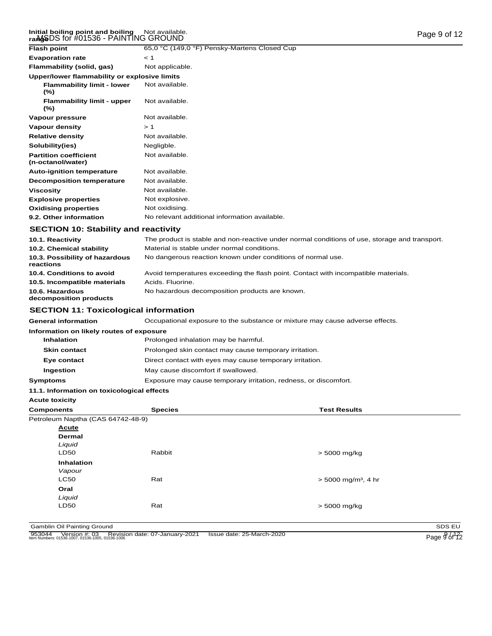#### I<mark>nitial boiling point and boiling</mark> Not available. Page 9 of 12<br>ra**nge**DS for #01536 - PAINTING GROUND ranM**gS** Not available.

| <b>Flash point</b>                                | 65,0 °C (149,0 °F) Pensky-Martens Closed Cup  |
|---------------------------------------------------|-----------------------------------------------|
| <b>Evaporation rate</b>                           | < 1                                           |
| Flammability (solid, gas)                         | Not applicable.                               |
| Upper/lower flammability or explosive limits      |                                               |
| <b>Flammability limit - lower</b><br>$(\%)$       | Not available.                                |
| <b>Flammability limit - upper</b><br>$(\%)$       | Not available.                                |
| Vapour pressure                                   | Not available.                                |
| Vapour density                                    | >1                                            |
| <b>Relative density</b>                           | Not available.                                |
| Solubility(ies)                                   | Negligble.                                    |
| <b>Partition coefficient</b><br>(n-octanol/water) | Not available.                                |
| <b>Auto-ignition temperature</b>                  | Not available.                                |
| <b>Decomposition temperature</b>                  | Not available.                                |
| <b>Viscosity</b>                                  | Not available.                                |
| <b>Explosive properties</b>                       | Not explosive.                                |
| <b>Oxidising properties</b>                       | Not oxidising.                                |
| 9.2. Other information                            | No relevant additional information available. |

# **SECTION 10: Stability and reactivity**

| 10.1. Reactivity                            | The product is stable and non-reactive under normal conditions of use, storage and transport. |
|---------------------------------------------|-----------------------------------------------------------------------------------------------|
| 10.2. Chemical stability                    | Material is stable under normal conditions.                                                   |
| 10.3. Possibility of hazardous<br>reactions | No dangerous reaction known under conditions of normal use.                                   |
| 10.4. Conditions to avoid                   | Avoid temperatures exceeding the flash point. Contact with incompatible materials.            |
| 10.5. Incompatible materials                | Acids, Fluorine.                                                                              |
| 10.6. Hazardous<br>decomposition products   | No hazardous decomposition products are known.                                                |

# **SECTION 11: Toxicological information**

| <b>General information</b>                 | Occupational exposure to the substance or mixture may cause adverse effects. |                     |  |
|--------------------------------------------|------------------------------------------------------------------------------|---------------------|--|
| Information on likely routes of exposure   |                                                                              |                     |  |
| <b>Inhalation</b>                          | Prolonged inhalation may be harmful.                                         |                     |  |
| <b>Skin contact</b>                        | Prolonged skin contact may cause temporary irritation.                       |                     |  |
| Eye contact                                | Direct contact with eyes may cause temporary irritation.                     |                     |  |
| Ingestion                                  | May cause discomfort if swallowed.                                           |                     |  |
| Symptoms                                   | Exposure may cause temporary irritation, redness, or discomfort.             |                     |  |
| 11.1. Information on toxicological effects |                                                                              |                     |  |
| <b>Acute toxicity</b>                      |                                                                              |                     |  |
| <b>Components</b>                          | <b>Species</b>                                                               | <b>Test Results</b> |  |

| Petroleum Naptha (CAS 64742-48-9) |        |                                   |
|-----------------------------------|--------|-----------------------------------|
| <b>Acute</b>                      |        |                                   |
| Dermal                            |        |                                   |
| Liquid                            |        |                                   |
| LD50                              | Rabbit | $> 5000$ mg/kg                    |
| Inhalation                        |        |                                   |
| Vapour                            |        |                                   |
| <b>LC50</b>                       | Rat    | $>$ 5000 mg/m <sup>3</sup> , 4 hr |
| Oral                              |        |                                   |
| Liquid                            |        |                                   |
| LD50                              | Rat    | $> 5000$ mg/kg                    |
|                                   |        |                                   |

Gamblin Oil Painting Ground<br>
953044 Version #: 03 Revision date: 07-January-2021 Issue date: 25-March-2020<br>
Nem Numbers: 01536-1007, 01536-1005, 01536-1006<br>
Page 9 of 12 953044 Version #: 03 Revision date: 07-January-2021 Issue date: 25-March-2020<br>Item Numbers: 01536-1007, 01536-1005, 01536-1006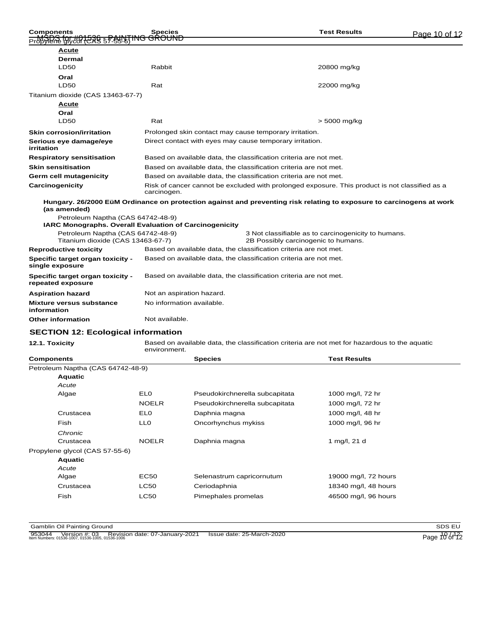| <b>Components</b><br>1848-145 BASI 1850 BHA                                                        | <b>Species</b><br><del>'ING GROUND</del>                                                                      | <b>Test Results</b>                                                                                                  | Page 10 of 12 |  |
|----------------------------------------------------------------------------------------------------|---------------------------------------------------------------------------------------------------------------|----------------------------------------------------------------------------------------------------------------------|---------------|--|
| Acute                                                                                              |                                                                                                               |                                                                                                                      |               |  |
| <b>Dermal</b>                                                                                      |                                                                                                               |                                                                                                                      |               |  |
| <b>LD50</b>                                                                                        | Rabbit                                                                                                        | 20800 mg/kg                                                                                                          |               |  |
| Oral                                                                                               |                                                                                                               |                                                                                                                      |               |  |
| <b>LD50</b>                                                                                        | Rat                                                                                                           | 22000 mg/kg                                                                                                          |               |  |
| Titanium dioxide (CAS 13463-67-7)                                                                  |                                                                                                               |                                                                                                                      |               |  |
| <b>Acute</b>                                                                                       |                                                                                                               |                                                                                                                      |               |  |
| Oral                                                                                               |                                                                                                               |                                                                                                                      |               |  |
| <b>LD50</b>                                                                                        | Rat                                                                                                           | $> 5000$ mg/kg                                                                                                       |               |  |
| <b>Skin corrosion/irritation</b>                                                                   |                                                                                                               | Prolonged skin contact may cause temporary irritation.                                                               |               |  |
| Serious eye damage/eye<br>irritation                                                               |                                                                                                               | Direct contact with eyes may cause temporary irritation.                                                             |               |  |
| <b>Respiratory sensitisation</b>                                                                   |                                                                                                               | Based on available data, the classification criteria are not met.                                                    |               |  |
| <b>Skin sensitisation</b>                                                                          |                                                                                                               | Based on available data, the classification criteria are not met.                                                    |               |  |
| Germ cell mutagenicity                                                                             |                                                                                                               | Based on available data, the classification criteria are not met.                                                    |               |  |
| Carcinogenicity                                                                                    | Risk of cancer cannot be excluded with prolonged exposure. This product is not classified as a<br>carcinogen. |                                                                                                                      |               |  |
| (as amended)                                                                                       |                                                                                                               | Hungary. 26/2000 EüM Ordinance on protection against and preventing risk relating to exposure to carcinogens at work |               |  |
| Petroleum Naptha (CAS 64742-48-9)<br><b>IARC Monographs. Overall Evaluation of Carcinogenicity</b> |                                                                                                               |                                                                                                                      |               |  |
| Petroleum Naptha (CAS 64742-48-9)<br>Titanium dioxide (CAS 13463-67-7)                             |                                                                                                               | 3 Not classifiable as to carcinogenicity to humans.<br>2B Possibly carcinogenic to humans.                           |               |  |
| <b>Reproductive toxicity</b>                                                                       |                                                                                                               | Based on available data, the classification criteria are not met.                                                    |               |  |
| Specific target organ toxicity -<br>single exposure                                                |                                                                                                               | Based on available data, the classification criteria are not met.                                                    |               |  |
| Specific target organ toxicity -<br>repeated exposure                                              |                                                                                                               | Based on available data, the classification criteria are not met.                                                    |               |  |
| <b>Aspiration hazard</b>                                                                           | Not an aspiration hazard.                                                                                     |                                                                                                                      |               |  |
| Mixture versus substance<br>information                                                            | No information available.                                                                                     |                                                                                                                      |               |  |
| <b>Other information</b>                                                                           | Not available.                                                                                                |                                                                                                                      |               |  |
|                                                                                                    |                                                                                                               |                                                                                                                      |               |  |

# **SECTION 12: Ecological information**

**12.1. Toxicity** Based on available data, the classification criteria are not met for hazardous to the aquatic environment.

| <b>Components</b>              |                                   | <b>Species</b>            |                                | <b>Test Results</b>  |
|--------------------------------|-----------------------------------|---------------------------|--------------------------------|----------------------|
|                                | Petroleum Naptha (CAS 64742-48-9) |                           |                                |                      |
| <b>Aquatic</b>                 |                                   |                           |                                |                      |
| Acute                          |                                   |                           |                                |                      |
| Algae                          | EL <sub>0</sub>                   |                           | Pseudokirchnerella subcapitata | 1000 mg/l, 72 hr     |
|                                | <b>NOELR</b>                      |                           | Pseudokirchnerella subcapitata | 1000 mg/l, 72 hr     |
| Crustacea                      | EL <sub>0</sub>                   | Daphnia magna             |                                | 1000 mg/l, 48 hr     |
| Fish                           | LL0                               | Oncorhynchus mykiss       |                                | 1000 mg/l, 96 hr     |
| Chronic                        |                                   |                           |                                |                      |
| Crustacea                      | <b>NOELR</b>                      | Daphnia magna             |                                | 1 mg/l, 21 d         |
| Propylene glycol (CAS 57-55-6) |                                   |                           |                                |                      |
| <b>Aquatic</b>                 |                                   |                           |                                |                      |
| Acute                          |                                   |                           |                                |                      |
| Algae                          | <b>EC50</b>                       | Selenastrum capricornutum |                                | 19000 mg/l, 72 hours |
| Crustacea                      | <b>LC50</b>                       | Ceriodaphnia              |                                | 18340 mg/l, 48 hours |
| Fish                           | <b>LC50</b>                       | Pimephales promelas       |                                | 46500 mg/l, 96 hours |
|                                |                                   |                           |                                |                      |

**Gamblin Oil Painting Ground SDS EU** 

953044 Version #: 03 Revision date: 07-January-2021 Issue date: 25-March-2020<br>Item Numbers: 01536-1007, 01536-1005, 01536-1006 Page 10 of 12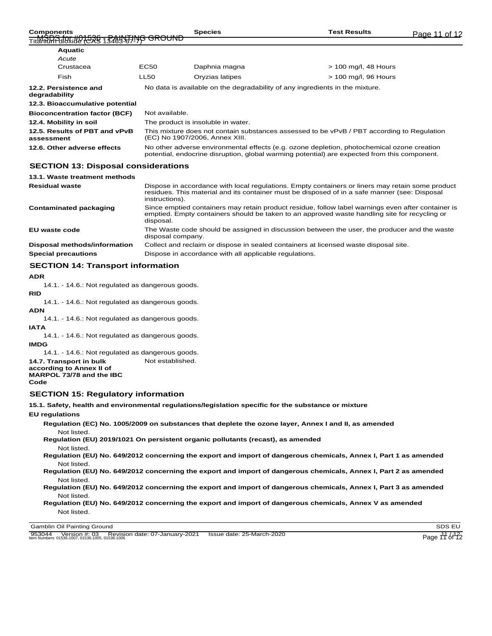| <b>Components</b>                        | Species | Гest Results | Page<br>n of |
|------------------------------------------|---------|--------------|--------------|
| Titul Roof of the 1528 1528 STATE OROUND |         |              |              |

| <b>Bioconcentration factor (BCF)</b>        | Not available.                                                                                                                                                                             |
|---------------------------------------------|--------------------------------------------------------------------------------------------------------------------------------------------------------------------------------------------|
| 12.4. Mobility in soil                      | The product is insoluble in water.                                                                                                                                                         |
| 12.5. Results of PBT and vPvB<br>assessment | This mixture does not contain substances assessed to be vPvB / PBT according to Regulation<br>(EC) No 1907/2006, Annex XIII.                                                               |
| 12.6. Other adverse effects                 | No other adverse environmental effects (e.g. ozone depletion, photochemical ozone creation<br>potential, endocrine disruption, global warming potential) are expected from this component. |

### **SECTION 13: Disposal considerations**

| 13.1. Waste treatment methods |                                                                                                                                                                                                                     |
|-------------------------------|---------------------------------------------------------------------------------------------------------------------------------------------------------------------------------------------------------------------|
| <b>Residual waste</b>         | Dispose in accordance with local regulations. Empty containers or liners may retain some product<br>residues. This material and its container must be disposed of in a safe manner (see: Disposal<br>instructions). |
| Contaminated packaging        | Since emptied containers may retain product residue, follow label warnings even after container is<br>emptied. Empty containers should be taken to an approved waste handling site for recycling or<br>disposal.    |
| EU waste code                 | The Waste code should be assigned in discussion between the user, the producer and the waste<br>disposal company.                                                                                                   |
| Disposal methods/information  | Collect and reclaim or dispose in sealed containers at licensed waste disposal site.                                                                                                                                |
| <b>Special precautions</b>    | Dispose in accordance with all applicable regulations.                                                                                                                                                              |

# **SECTION 14: Transport information**

#### **ADR**

14.1. - 14.6.: Not regulated as dangerous goods.

**RID**

14.1. - 14.6.: Not regulated as dangerous goods.

#### **ADN**

14.1. - 14.6.: Not regulated as dangerous goods.

**IATA**

14.1. - 14.6.: Not regulated as dangerous goods.

### **IMDG**

14.1. - 14.6.: Not regulated as dangerous goods.

- **14.7. Transport in bulk** Not established.
- **according to Annex II of MARPOL 73/78 and the IBC**

#### **Code**

#### **SECTION 15: Regulatory information**

**15.1. Safety, health and environmental regulations/legislation specific for the substance or mixture**

**EU regulations**

**Regulation (EC) No. 1005/2009 on substances that deplete the ozone layer, Annex I and II, as amended**

Not listed. **Regulation (EU) 2019/1021 On persistent organic pollutants (recast), as amended**

Not listed. **Regulation (EU) No. 649/2012 concerning the export and import of dangerous chemicals, Annex I, Part 1 as amended** Not listed.

**Regulation (EU) No. 649/2012 concerning the export and import of dangerous chemicals, Annex I, Part 2 as amended** Not listed.

**Regulation (EU) No. 649/2012 concerning the export and import of dangerous chemicals, Annex I, Part 3 as amended** Not listed.

**Regulation (EU) No. 649/2012 concerning the export and import of dangerous chemicals, Annex V as amended** Not listed.

Gamblin Oil Painting Ground SDS EU

953044 Version #: 03 Revision date: 07-January-2021 Issue date: 25-March-2020<br>Item Numbers: 01536-1007, 01536-1005, 01536-1006 Page 11 of 12